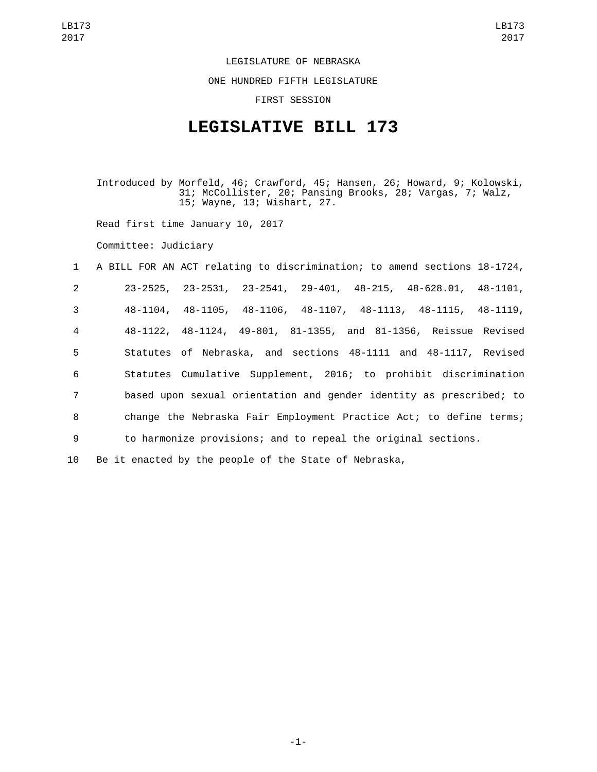LEGISLATURE OF NEBRASKA

ONE HUNDRED FIFTH LEGISLATURE

FIRST SESSION

## **LEGISLATIVE BILL 173**

Introduced by Morfeld, 46; Crawford, 45; Hansen, 26; Howard, 9; Kolowski, 31; McCollister, 20; Pansing Brooks, 28; Vargas, 7; Walz, 15; Wayne, 13; Wishart, 27.

Read first time January 10, 2017

Committee: Judiciary

 A BILL FOR AN ACT relating to discrimination; to amend sections 18-1724, 23-2525, 23-2531, 23-2541, 29-401, 48-215, 48-628.01, 48-1101, 48-1104, 48-1105, 48-1106, 48-1107, 48-1113, 48-1115, 48-1119, 48-1122, 48-1124, 49-801, 81-1355, and 81-1356, Reissue Revised Statutes of Nebraska, and sections 48-1111 and 48-1117, Revised Statutes Cumulative Supplement, 2016; to prohibit discrimination based upon sexual orientation and gender identity as prescribed; to change the Nebraska Fair Employment Practice Act; to define terms; to harmonize provisions; and to repeal the original sections. Be it enacted by the people of the State of Nebraska,

-1-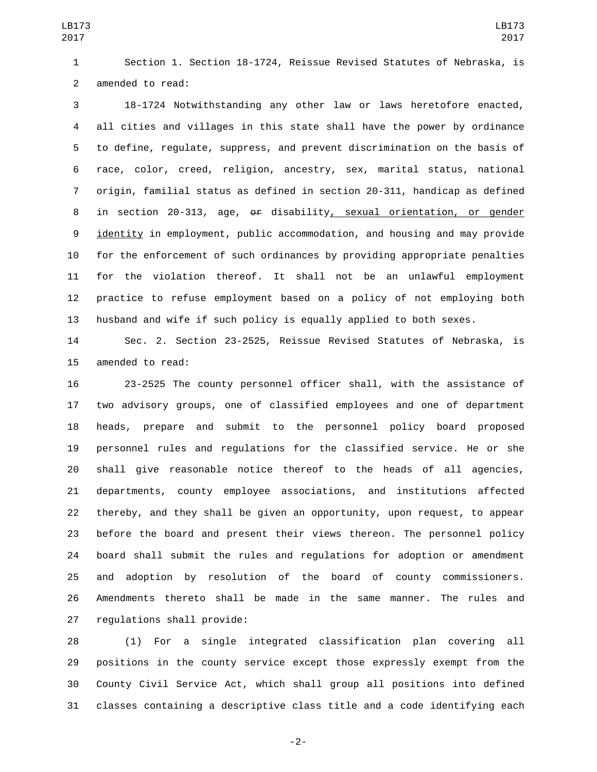Section 1. Section 18-1724, Reissue Revised Statutes of Nebraska, is 2 amended to read:

 18-1724 Notwithstanding any other law or laws heretofore enacted, all cities and villages in this state shall have the power by ordinance to define, regulate, suppress, and prevent discrimination on the basis of race, color, creed, religion, ancestry, sex, marital status, national origin, familial status as defined in section 20-311, handicap as defined in section 20-313, age, or disability, sexual orientation, or gender identity in employment, public accommodation, and housing and may provide for the enforcement of such ordinances by providing appropriate penalties for the violation thereof. It shall not be an unlawful employment practice to refuse employment based on a policy of not employing both husband and wife if such policy is equally applied to both sexes.

 Sec. 2. Section 23-2525, Reissue Revised Statutes of Nebraska, is 15 amended to read:

 23-2525 The county personnel officer shall, with the assistance of two advisory groups, one of classified employees and one of department heads, prepare and submit to the personnel policy board proposed personnel rules and regulations for the classified service. He or she shall give reasonable notice thereof to the heads of all agencies, departments, county employee associations, and institutions affected thereby, and they shall be given an opportunity, upon request, to appear before the board and present their views thereon. The personnel policy board shall submit the rules and regulations for adoption or amendment and adoption by resolution of the board of county commissioners. Amendments thereto shall be made in the same manner. The rules and 27 regulations shall provide:

 (1) For a single integrated classification plan covering all positions in the county service except those expressly exempt from the County Civil Service Act, which shall group all positions into defined classes containing a descriptive class title and a code identifying each

-2-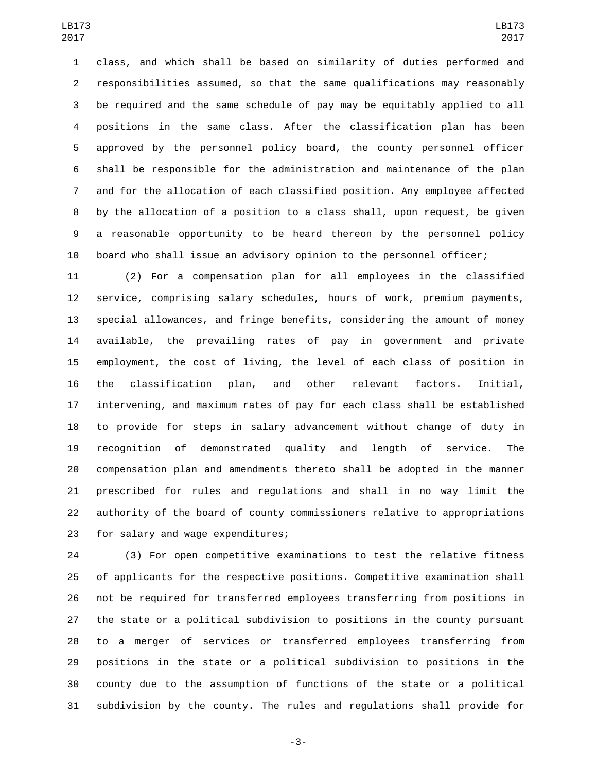class, and which shall be based on similarity of duties performed and responsibilities assumed, so that the same qualifications may reasonably be required and the same schedule of pay may be equitably applied to all positions in the same class. After the classification plan has been approved by the personnel policy board, the county personnel officer shall be responsible for the administration and maintenance of the plan and for the allocation of each classified position. Any employee affected by the allocation of a position to a class shall, upon request, be given a reasonable opportunity to be heard thereon by the personnel policy board who shall issue an advisory opinion to the personnel officer;

 (2) For a compensation plan for all employees in the classified service, comprising salary schedules, hours of work, premium payments, special allowances, and fringe benefits, considering the amount of money available, the prevailing rates of pay in government and private employment, the cost of living, the level of each class of position in the classification plan, and other relevant factors. Initial, intervening, and maximum rates of pay for each class shall be established to provide for steps in salary advancement without change of duty in recognition of demonstrated quality and length of service. The compensation plan and amendments thereto shall be adopted in the manner prescribed for rules and regulations and shall in no way limit the authority of the board of county commissioners relative to appropriations 23 for salary and wage expenditures;

 (3) For open competitive examinations to test the relative fitness of applicants for the respective positions. Competitive examination shall not be required for transferred employees transferring from positions in the state or a political subdivision to positions in the county pursuant to a merger of services or transferred employees transferring from positions in the state or a political subdivision to positions in the county due to the assumption of functions of the state or a political subdivision by the county. The rules and regulations shall provide for

-3-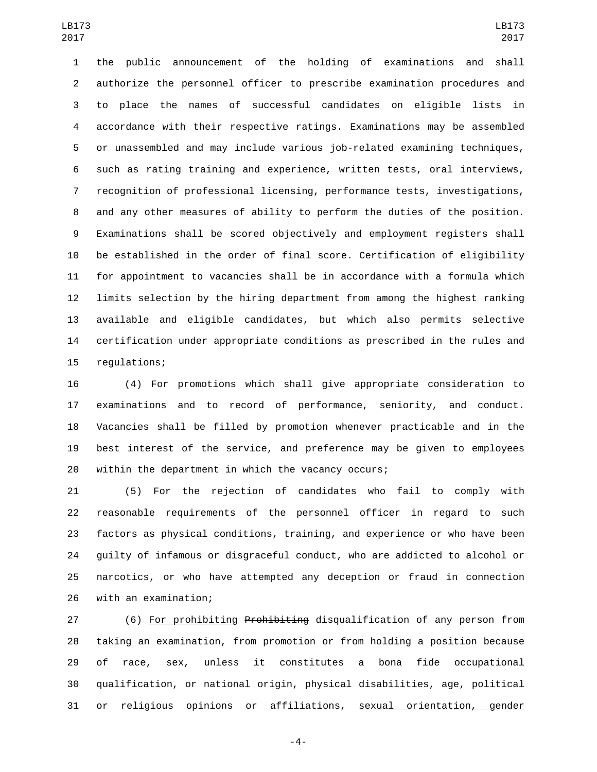the public announcement of the holding of examinations and shall authorize the personnel officer to prescribe examination procedures and to place the names of successful candidates on eligible lists in accordance with their respective ratings. Examinations may be assembled or unassembled and may include various job-related examining techniques, such as rating training and experience, written tests, oral interviews, recognition of professional licensing, performance tests, investigations, and any other measures of ability to perform the duties of the position. Examinations shall be scored objectively and employment registers shall be established in the order of final score. Certification of eligibility for appointment to vacancies shall be in accordance with a formula which limits selection by the hiring department from among the highest ranking available and eligible candidates, but which also permits selective certification under appropriate conditions as prescribed in the rules and 15 regulations;

 (4) For promotions which shall give appropriate consideration to examinations and to record of performance, seniority, and conduct. Vacancies shall be filled by promotion whenever practicable and in the best interest of the service, and preference may be given to employees within the department in which the vacancy occurs;

 (5) For the rejection of candidates who fail to comply with reasonable requirements of the personnel officer in regard to such factors as physical conditions, training, and experience or who have been guilty of infamous or disgraceful conduct, who are addicted to alcohol or narcotics, or who have attempted any deception or fraud in connection 26 with an examination;

27 (6) For prohibiting Prohibiting disqualification of any person from taking an examination, from promotion or from holding a position because of race, sex, unless it constitutes a bona fide occupational qualification, or national origin, physical disabilities, age, political or religious opinions or affiliations, sexual orientation, gender

-4-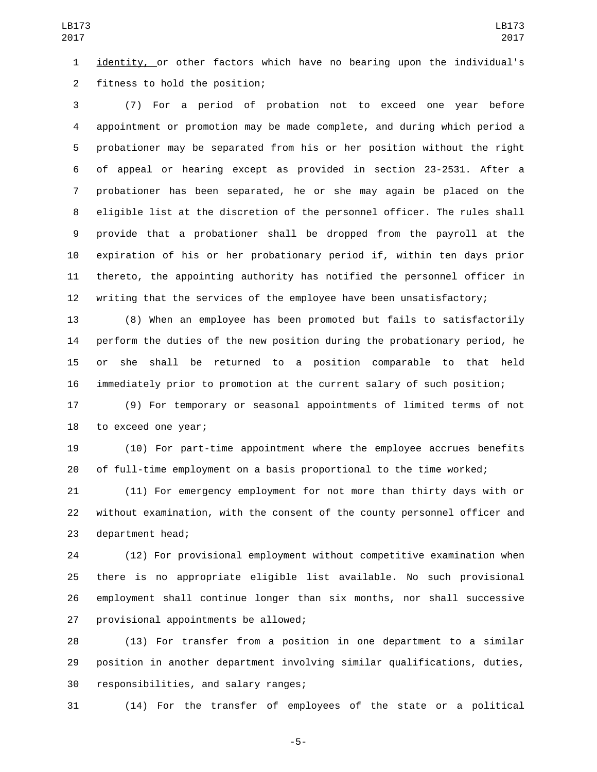identity, or other factors which have no bearing upon the individual's fitness to hold the position;2

 (7) For a period of probation not to exceed one year before appointment or promotion may be made complete, and during which period a probationer may be separated from his or her position without the right of appeal or hearing except as provided in section 23-2531. After a probationer has been separated, he or she may again be placed on the eligible list at the discretion of the personnel officer. The rules shall provide that a probationer shall be dropped from the payroll at the expiration of his or her probationary period if, within ten days prior thereto, the appointing authority has notified the personnel officer in writing that the services of the employee have been unsatisfactory;

 (8) When an employee has been promoted but fails to satisfactorily perform the duties of the new position during the probationary period, he or she shall be returned to a position comparable to that held immediately prior to promotion at the current salary of such position;

 (9) For temporary or seasonal appointments of limited terms of not 18 to exceed one year;

 (10) For part-time appointment where the employee accrues benefits of full-time employment on a basis proportional to the time worked;

 (11) For emergency employment for not more than thirty days with or without examination, with the consent of the county personnel officer and 23 department head;

 (12) For provisional employment without competitive examination when there is no appropriate eligible list available. No such provisional employment shall continue longer than six months, nor shall successive 27 provisional appointments be allowed;

 (13) For transfer from a position in one department to a similar position in another department involving similar qualifications, duties, 30 responsibilities, and salary ranges;

(14) For the transfer of employees of the state or a political

-5-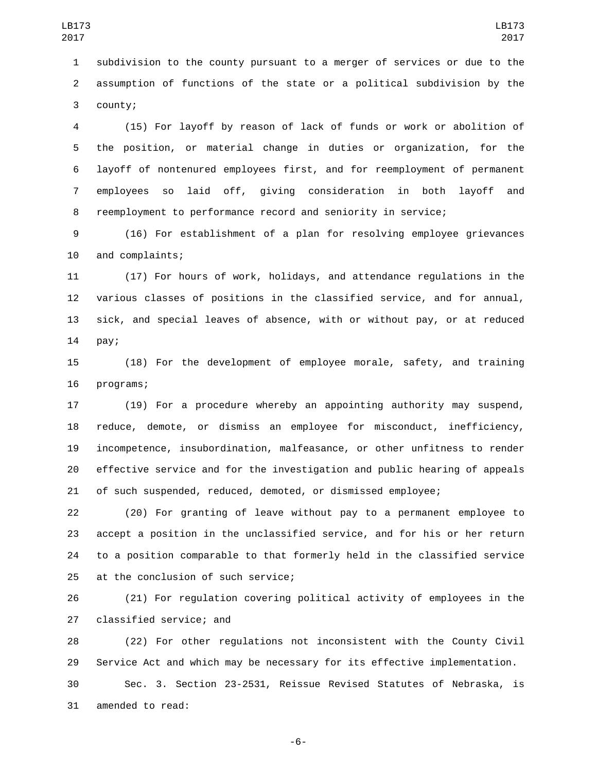subdivision to the county pursuant to a merger of services or due to the assumption of functions of the state or a political subdivision by the 3 county;

 (15) For layoff by reason of lack of funds or work or abolition of the position, or material change in duties or organization, for the layoff of nontenured employees first, and for reemployment of permanent employees so laid off, giving consideration in both layoff and reemployment to performance record and seniority in service;

 (16) For establishment of a plan for resolving employee grievances 10 and complaints;

 (17) For hours of work, holidays, and attendance regulations in the various classes of positions in the classified service, and for annual, sick, and special leaves of absence, with or without pay, or at reduced 14 pay;

 (18) For the development of employee morale, safety, and training 16 programs;

 (19) For a procedure whereby an appointing authority may suspend, reduce, demote, or dismiss an employee for misconduct, inefficiency, incompetence, insubordination, malfeasance, or other unfitness to render effective service and for the investigation and public hearing of appeals of such suspended, reduced, demoted, or dismissed employee;

 (20) For granting of leave without pay to a permanent employee to accept a position in the unclassified service, and for his or her return to a position comparable to that formerly held in the classified service 25 at the conclusion of such service;

 (21) For regulation covering political activity of employees in the 27 classified service; and

 (22) For other regulations not inconsistent with the County Civil Service Act and which may be necessary for its effective implementation.

 Sec. 3. Section 23-2531, Reissue Revised Statutes of Nebraska, is 31 amended to read:

-6-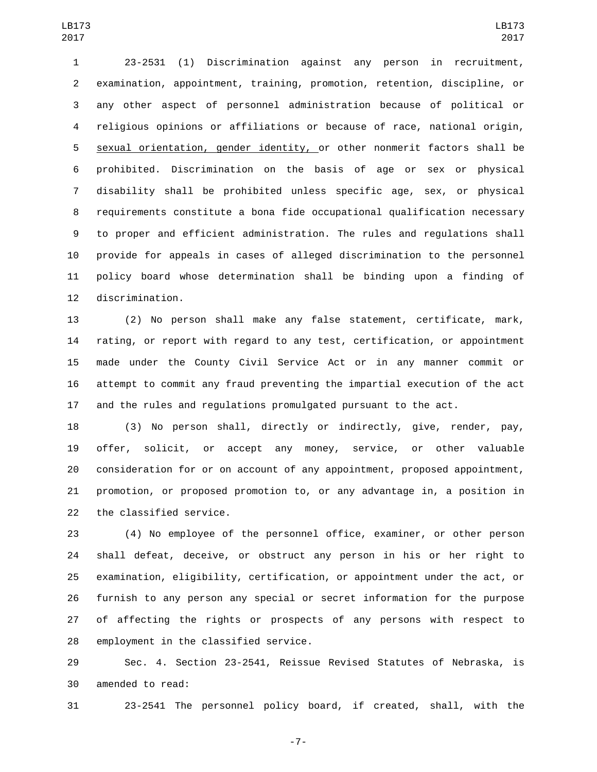23-2531 (1) Discrimination against any person in recruitment, examination, appointment, training, promotion, retention, discipline, or any other aspect of personnel administration because of political or religious opinions or affiliations or because of race, national origin, sexual orientation, gender identity, or other nonmerit factors shall be prohibited. Discrimination on the basis of age or sex or physical disability shall be prohibited unless specific age, sex, or physical requirements constitute a bona fide occupational qualification necessary to proper and efficient administration. The rules and regulations shall provide for appeals in cases of alleged discrimination to the personnel policy board whose determination shall be binding upon a finding of 12 discrimination.

 (2) No person shall make any false statement, certificate, mark, rating, or report with regard to any test, certification, or appointment made under the County Civil Service Act or in any manner commit or attempt to commit any fraud preventing the impartial execution of the act and the rules and regulations promulgated pursuant to the act.

 (3) No person shall, directly or indirectly, give, render, pay, offer, solicit, or accept any money, service, or other valuable consideration for or on account of any appointment, proposed appointment, promotion, or proposed promotion to, or any advantage in, a position in 22 the classified service.

 (4) No employee of the personnel office, examiner, or other person shall defeat, deceive, or obstruct any person in his or her right to examination, eligibility, certification, or appointment under the act, or furnish to any person any special or secret information for the purpose of affecting the rights or prospects of any persons with respect to 28 employment in the classified service.

 Sec. 4. Section 23-2541, Reissue Revised Statutes of Nebraska, is 30 amended to read:

23-2541 The personnel policy board, if created, shall, with the

-7-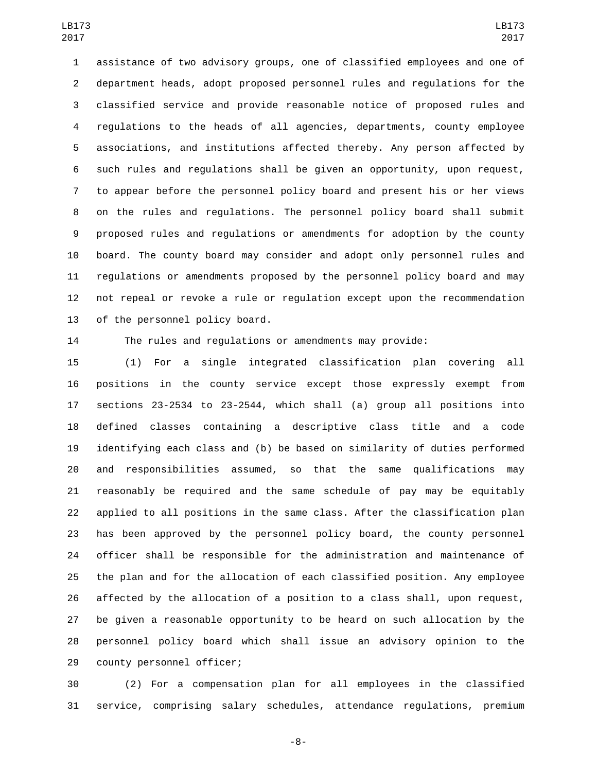assistance of two advisory groups, one of classified employees and one of department heads, adopt proposed personnel rules and regulations for the classified service and provide reasonable notice of proposed rules and regulations to the heads of all agencies, departments, county employee associations, and institutions affected thereby. Any person affected by such rules and regulations shall be given an opportunity, upon request, to appear before the personnel policy board and present his or her views on the rules and regulations. The personnel policy board shall submit proposed rules and regulations or amendments for adoption by the county board. The county board may consider and adopt only personnel rules and regulations or amendments proposed by the personnel policy board and may not repeal or revoke a rule or regulation except upon the recommendation 13 of the personnel policy board.

The rules and regulations or amendments may provide:

 (1) For a single integrated classification plan covering all positions in the county service except those expressly exempt from sections 23-2534 to 23-2544, which shall (a) group all positions into defined classes containing a descriptive class title and a code identifying each class and (b) be based on similarity of duties performed and responsibilities assumed, so that the same qualifications may reasonably be required and the same schedule of pay may be equitably applied to all positions in the same class. After the classification plan has been approved by the personnel policy board, the county personnel officer shall be responsible for the administration and maintenance of the plan and for the allocation of each classified position. Any employee affected by the allocation of a position to a class shall, upon request, be given a reasonable opportunity to be heard on such allocation by the personnel policy board which shall issue an advisory opinion to the 29 county personnel officer;

 (2) For a compensation plan for all employees in the classified service, comprising salary schedules, attendance regulations, premium

-8-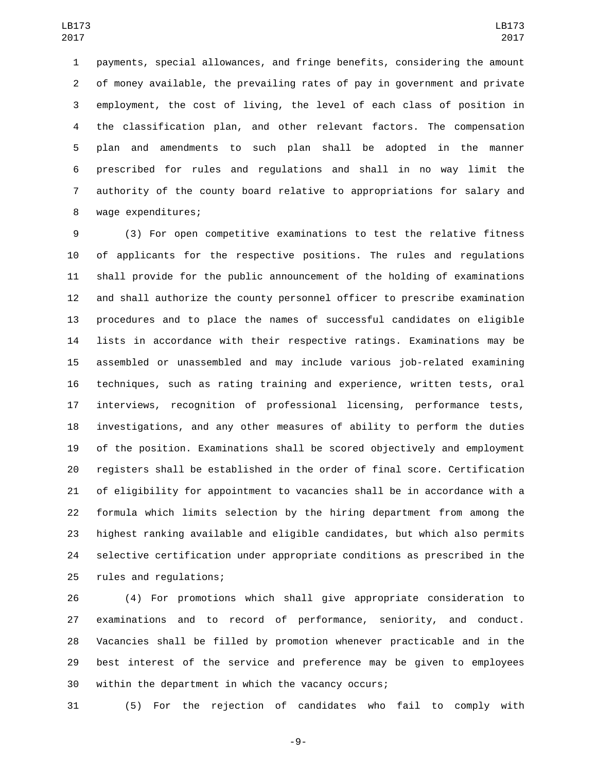payments, special allowances, and fringe benefits, considering the amount of money available, the prevailing rates of pay in government and private employment, the cost of living, the level of each class of position in the classification plan, and other relevant factors. The compensation plan and amendments to such plan shall be adopted in the manner prescribed for rules and regulations and shall in no way limit the authority of the county board relative to appropriations for salary and 8 wage expenditures;

 (3) For open competitive examinations to test the relative fitness of applicants for the respective positions. The rules and regulations shall provide for the public announcement of the holding of examinations and shall authorize the county personnel officer to prescribe examination procedures and to place the names of successful candidates on eligible lists in accordance with their respective ratings. Examinations may be assembled or unassembled and may include various job-related examining techniques, such as rating training and experience, written tests, oral interviews, recognition of professional licensing, performance tests, investigations, and any other measures of ability to perform the duties of the position. Examinations shall be scored objectively and employment registers shall be established in the order of final score. Certification of eligibility for appointment to vacancies shall be in accordance with a formula which limits selection by the hiring department from among the highest ranking available and eligible candidates, but which also permits selective certification under appropriate conditions as prescribed in the 25 rules and regulations;

 (4) For promotions which shall give appropriate consideration to examinations and to record of performance, seniority, and conduct. Vacancies shall be filled by promotion whenever practicable and in the best interest of the service and preference may be given to employees within the department in which the vacancy occurs;

(5) For the rejection of candidates who fail to comply with

-9-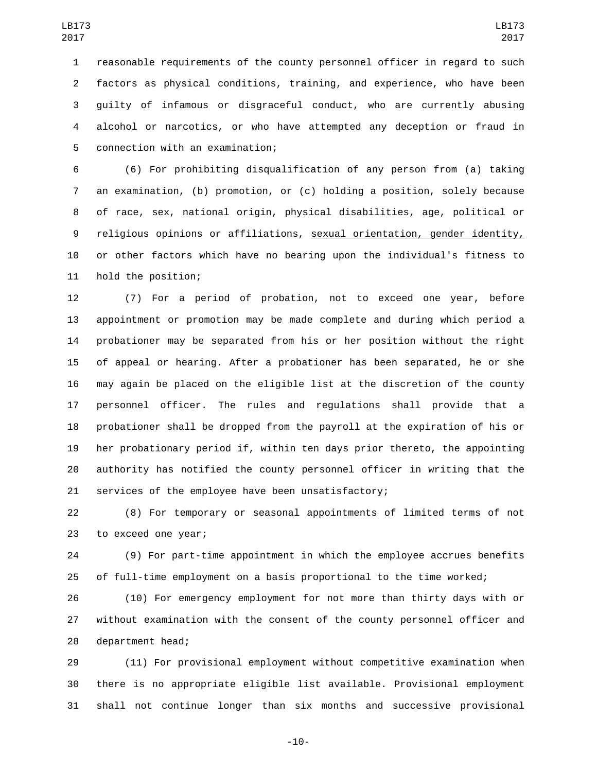reasonable requirements of the county personnel officer in regard to such factors as physical conditions, training, and experience, who have been guilty of infamous or disgraceful conduct, who are currently abusing alcohol or narcotics, or who have attempted any deception or fraud in 5 connection with an examination;

 (6) For prohibiting disqualification of any person from (a) taking an examination, (b) promotion, or (c) holding a position, solely because of race, sex, national origin, physical disabilities, age, political or religious opinions or affiliations, sexual orientation, gender identity, or other factors which have no bearing upon the individual's fitness to 11 hold the position;

 (7) For a period of probation, not to exceed one year, before appointment or promotion may be made complete and during which period a probationer may be separated from his or her position without the right of appeal or hearing. After a probationer has been separated, he or she may again be placed on the eligible list at the discretion of the county personnel officer. The rules and regulations shall provide that a probationer shall be dropped from the payroll at the expiration of his or her probationary period if, within ten days prior thereto, the appointing authority has notified the county personnel officer in writing that the services of the employee have been unsatisfactory;

 (8) For temporary or seasonal appointments of limited terms of not 23 to exceed one year;

 (9) For part-time appointment in which the employee accrues benefits of full-time employment on a basis proportional to the time worked;

 (10) For emergency employment for not more than thirty days with or without examination with the consent of the county personnel officer and 28 department head;

 (11) For provisional employment without competitive examination when there is no appropriate eligible list available. Provisional employment shall not continue longer than six months and successive provisional

-10-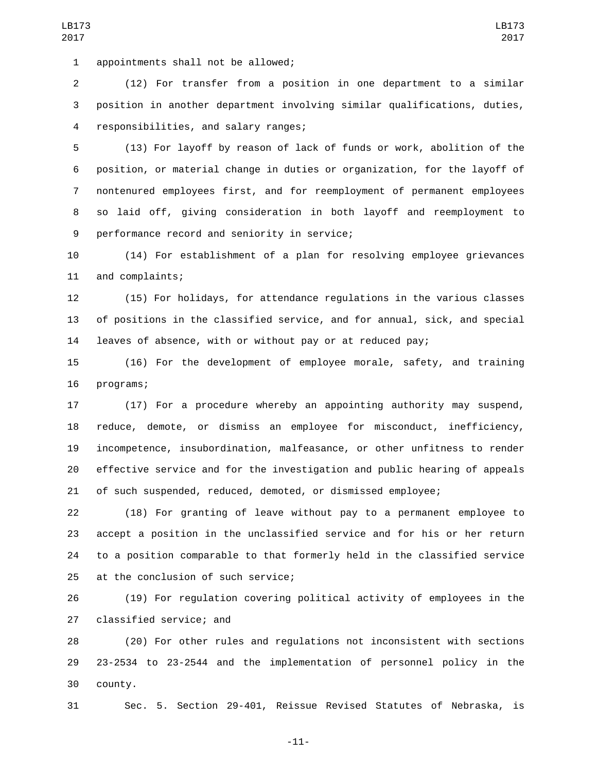appointments shall not be allowed;1

 (12) For transfer from a position in one department to a similar position in another department involving similar qualifications, duties, 4 responsibilities, and salary ranges;

 (13) For layoff by reason of lack of funds or work, abolition of the position, or material change in duties or organization, for the layoff of nontenured employees first, and for reemployment of permanent employees so laid off, giving consideration in both layoff and reemployment to 9 performance record and seniority in service;

 (14) For establishment of a plan for resolving employee grievances 11 and complaints;

 (15) For holidays, for attendance regulations in the various classes of positions in the classified service, and for annual, sick, and special leaves of absence, with or without pay or at reduced pay;

 (16) For the development of employee morale, safety, and training 16 programs;

 (17) For a procedure whereby an appointing authority may suspend, reduce, demote, or dismiss an employee for misconduct, inefficiency, incompetence, insubordination, malfeasance, or other unfitness to render effective service and for the investigation and public hearing of appeals of such suspended, reduced, demoted, or dismissed employee;

 (18) For granting of leave without pay to a permanent employee to accept a position in the unclassified service and for his or her return to a position comparable to that formerly held in the classified service 25 at the conclusion of such service;

 (19) For regulation covering political activity of employees in the 27 classified service; and

 (20) For other rules and regulations not inconsistent with sections 23-2534 to 23-2544 and the implementation of personnel policy in the county.30

Sec. 5. Section 29-401, Reissue Revised Statutes of Nebraska, is

-11-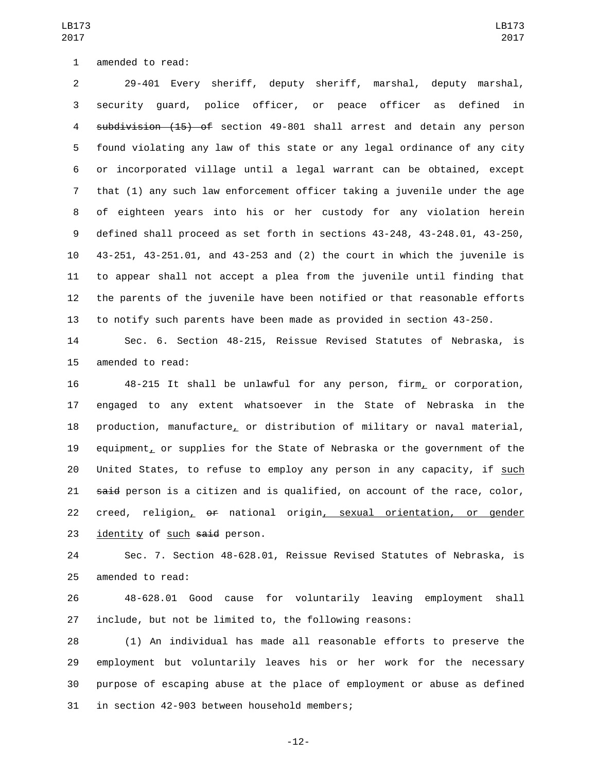29-401 Every sheriff, deputy sheriff, marshal, deputy marshal, security guard, police officer, or peace officer as defined in 4 subdivision (15) of section 49-801 shall arrest and detain any person found violating any law of this state or any legal ordinance of any city or incorporated village until a legal warrant can be obtained, except that (1) any such law enforcement officer taking a juvenile under the age of eighteen years into his or her custody for any violation herein defined shall proceed as set forth in sections 43-248, 43-248.01, 43-250, 43-251, 43-251.01, and 43-253 and (2) the court in which the juvenile is to appear shall not accept a plea from the juvenile until finding that the parents of the juvenile have been notified or that reasonable efforts to notify such parents have been made as provided in section 43-250.

 Sec. 6. Section 48-215, Reissue Revised Statutes of Nebraska, is 15 amended to read:

 48-215 It shall be unlawful for any person, firm, or corporation, engaged to any extent whatsoever in the State of Nebraska in the production, manufacture, or distribution of military or naval material, 19 equipment, or supplies for the State of Nebraska or the government of the United States, to refuse to employ any person in any capacity, if such 21 said person is a citizen and is qualified, on account of the race, color, creed, religion, or national origin, sexual orientation, or gender *identity* of such said person.

 Sec. 7. Section 48-628.01, Reissue Revised Statutes of Nebraska, is 25 amended to read:

 48-628.01 Good cause for voluntarily leaving employment shall include, but not be limited to, the following reasons:

 (1) An individual has made all reasonable efforts to preserve the employment but voluntarily leaves his or her work for the necessary purpose of escaping abuse at the place of employment or abuse as defined 31 in section 42-903 between household members;

-12-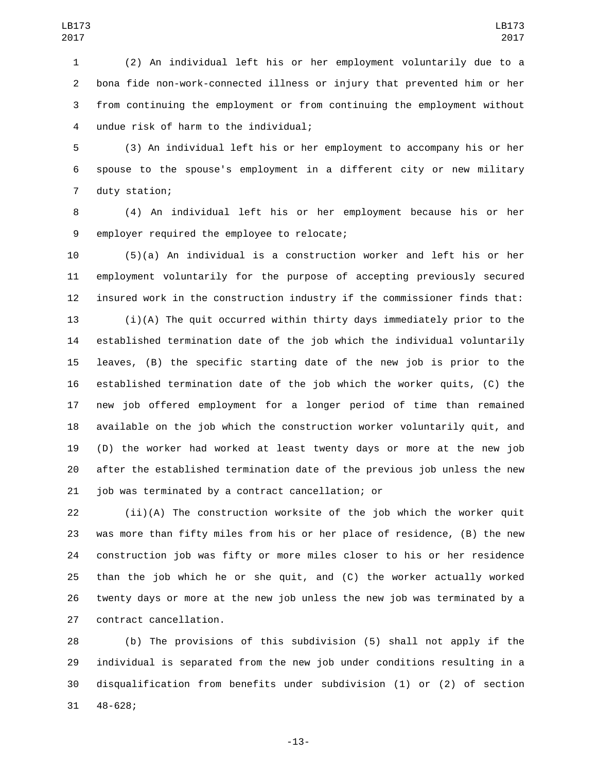(2) An individual left his or her employment voluntarily due to a bona fide non-work-connected illness or injury that prevented him or her from continuing the employment or from continuing the employment without undue risk of harm to the individual;4

 (3) An individual left his or her employment to accompany his or her spouse to the spouse's employment in a different city or new military 7 duty station;

 (4) An individual left his or her employment because his or her 9 employer required the employee to relocate;

 (5)(a) An individual is a construction worker and left his or her employment voluntarily for the purpose of accepting previously secured insured work in the construction industry if the commissioner finds that:

 (i)(A) The quit occurred within thirty days immediately prior to the established termination date of the job which the individual voluntarily leaves, (B) the specific starting date of the new job is prior to the established termination date of the job which the worker quits, (C) the new job offered employment for a longer period of time than remained available on the job which the construction worker voluntarily quit, and (D) the worker had worked at least twenty days or more at the new job after the established termination date of the previous job unless the new 21 job was terminated by a contract cancellation; or

 (ii)(A) The construction worksite of the job which the worker quit was more than fifty miles from his or her place of residence, (B) the new construction job was fifty or more miles closer to his or her residence than the job which he or she quit, and (C) the worker actually worked twenty days or more at the new job unless the new job was terminated by a 27 contract cancellation.

 (b) The provisions of this subdivision (5) shall not apply if the individual is separated from the new job under conditions resulting in a disqualification from benefits under subdivision (1) or (2) of section 31 48-628;

-13-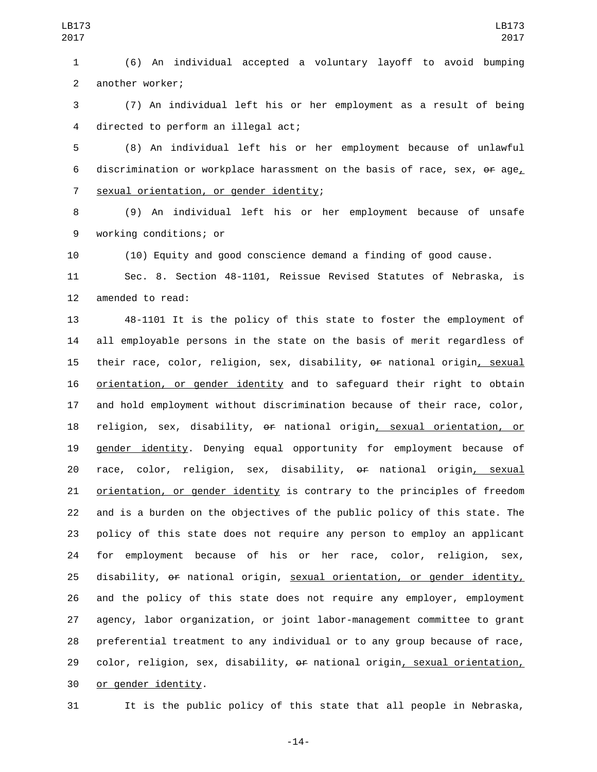(6) An individual accepted a voluntary layoff to avoid bumping 2 another worker;

 (7) An individual left his or her employment as a result of being 4 directed to perform an illegal act;

 (8) An individual left his or her employment because of unlawful discrimination or workplace harassment on the basis of race, sex, or age, 7 sexual orientation, or gender identity;

 (9) An individual left his or her employment because of unsafe working conditions; or9

(10) Equity and good conscience demand a finding of good cause.

 Sec. 8. Section 48-1101, Reissue Revised Statutes of Nebraska, is 12 amended to read:

 48-1101 It is the policy of this state to foster the employment of all employable persons in the state on the basis of merit regardless of 15 their race, color, religion, sex, disability, or national origin, sexual orientation, or gender identity and to safeguard their right to obtain and hold employment without discrimination because of their race, color, 18 religion, sex, disability, <del>or</del> national origin<u>, sexual orient</u>ation, or gender identity. Denying equal opportunity for employment because of race, color, religion, sex, disability, or national origin, sexual **orientation, or gender identity** is contrary to the principles of freedom and is a burden on the objectives of the public policy of this state. The policy of this state does not require any person to employ an applicant for employment because of his or her race, color, religion, sex, disability, or national origin, sexual orientation, or gender identity, and the policy of this state does not require any employer, employment agency, labor organization, or joint labor-management committee to grant preferential treatment to any individual or to any group because of race, 29 color, religion, sex, disability, or national origin, sexual orientation, 30 or gender identity.

It is the public policy of this state that all people in Nebraska,

-14-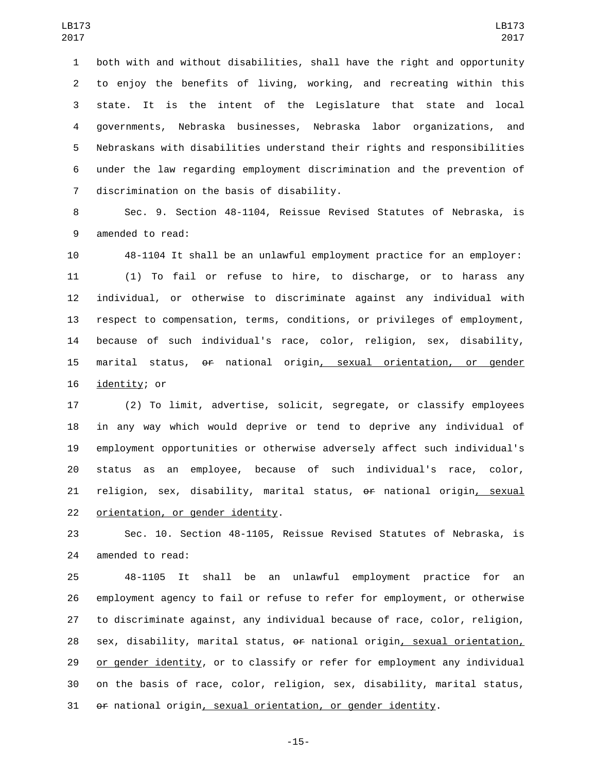both with and without disabilities, shall have the right and opportunity to enjoy the benefits of living, working, and recreating within this state. It is the intent of the Legislature that state and local governments, Nebraska businesses, Nebraska labor organizations, and Nebraskans with disabilities understand their rights and responsibilities under the law regarding employment discrimination and the prevention of 7 discrimination on the basis of disability.

 Sec. 9. Section 48-1104, Reissue Revised Statutes of Nebraska, is 9 amended to read:

 48-1104 It shall be an unlawful employment practice for an employer: (1) To fail or refuse to hire, to discharge, or to harass any individual, or otherwise to discriminate against any individual with respect to compensation, terms, conditions, or privileges of employment, because of such individual's race, color, religion, sex, disability, marital status, or national origin, sexual orientation, or gender identity; or

 (2) To limit, advertise, solicit, segregate, or classify employees in any way which would deprive or tend to deprive any individual of employment opportunities or otherwise adversely affect such individual's status as an employee, because of such individual's race, color, 21 religion, sex, disability, marital status, or national origin, sexual 22 orientation, or gender identity.

 Sec. 10. Section 48-1105, Reissue Revised Statutes of Nebraska, is 24 amended to read:

 48-1105 It shall be an unlawful employment practice for an employment agency to fail or refuse to refer for employment, or otherwise to discriminate against, any individual because of race, color, religion, 28 sex, disability, marital status,  $\theta$  rational origin, sexual orientation, 29 or gender identity, or to classify or refer for employment any individual on the basis of race, color, religion, sex, disability, marital status, or national origin, sexual orientation, or gender identity.

-15-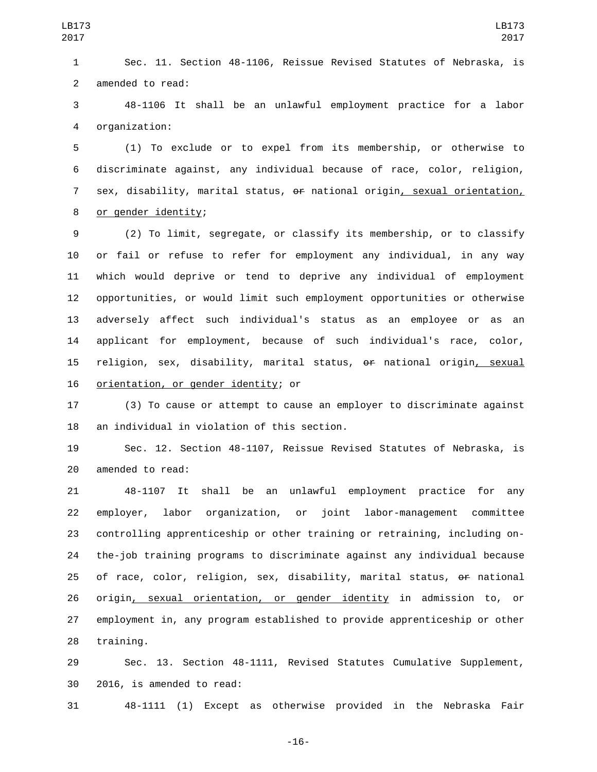Sec. 11. Section 48-1106, Reissue Revised Statutes of Nebraska, is 2 amended to read:

 48-1106 It shall be an unlawful employment practice for a labor organization:4

 (1) To exclude or to expel from its membership, or otherwise to discriminate against, any individual because of race, color, religion, sex, disability, marital status, or national origin, sexual orientation, 8 or gender identity;

 (2) To limit, segregate, or classify its membership, or to classify or fail or refuse to refer for employment any individual, in any way which would deprive or tend to deprive any individual of employment opportunities, or would limit such employment opportunities or otherwise adversely affect such individual's status as an employee or as an applicant for employment, because of such individual's race, color, 15 religion, sex, disability, marital status, or national origin, sexual 16 orientation, or gender identity; or

 (3) To cause or attempt to cause an employer to discriminate against 18 an individual in violation of this section.

 Sec. 12. Section 48-1107, Reissue Revised Statutes of Nebraska, is 20 amended to read:

 48-1107 It shall be an unlawful employment practice for any employer, labor organization, or joint labor-management committee controlling apprenticeship or other training or retraining, including on- the-job training programs to discriminate against any individual because 25 of race, color, religion, sex, disability, marital status, or national 26 origin, sexual orientation, or gender identity in admission to, or employment in, any program established to provide apprenticeship or other 28 training.

 Sec. 13. Section 48-1111, Revised Statutes Cumulative Supplement, 30 2016, is amended to read:

48-1111 (1) Except as otherwise provided in the Nebraska Fair

-16-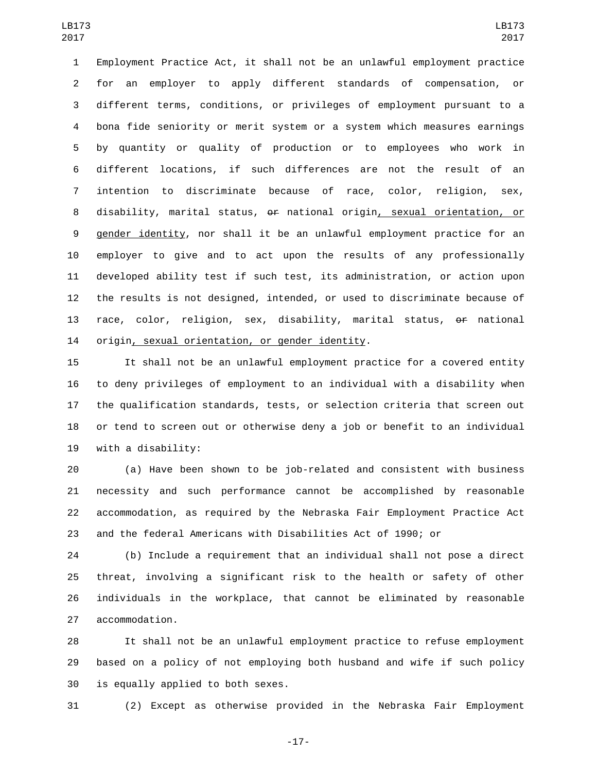Employment Practice Act, it shall not be an unlawful employment practice for an employer to apply different standards of compensation, or different terms, conditions, or privileges of employment pursuant to a bona fide seniority or merit system or a system which measures earnings by quantity or quality of production or to employees who work in different locations, if such differences are not the result of an intention to discriminate because of race, color, religion, sex, disability, marital status, or national origin, sexual orientation, or gender identity, nor shall it be an unlawful employment practice for an employer to give and to act upon the results of any professionally developed ability test if such test, its administration, or action upon the results is not designed, intended, or used to discriminate because of 13 race, color, religion, sex, disability, marital status, or national 14 origin, sexual orientation, or gender identity.

 It shall not be an unlawful employment practice for a covered entity to deny privileges of employment to an individual with a disability when the qualification standards, tests, or selection criteria that screen out or tend to screen out or otherwise deny a job or benefit to an individual 19 with a disability:

 (a) Have been shown to be job-related and consistent with business necessity and such performance cannot be accomplished by reasonable accommodation, as required by the Nebraska Fair Employment Practice Act and the federal Americans with Disabilities Act of 1990; or

 (b) Include a requirement that an individual shall not pose a direct threat, involving a significant risk to the health or safety of other individuals in the workplace, that cannot be eliminated by reasonable 27 accommodation.

 It shall not be an unlawful employment practice to refuse employment based on a policy of not employing both husband and wife if such policy 30 is equally applied to both sexes.

(2) Except as otherwise provided in the Nebraska Fair Employment

-17-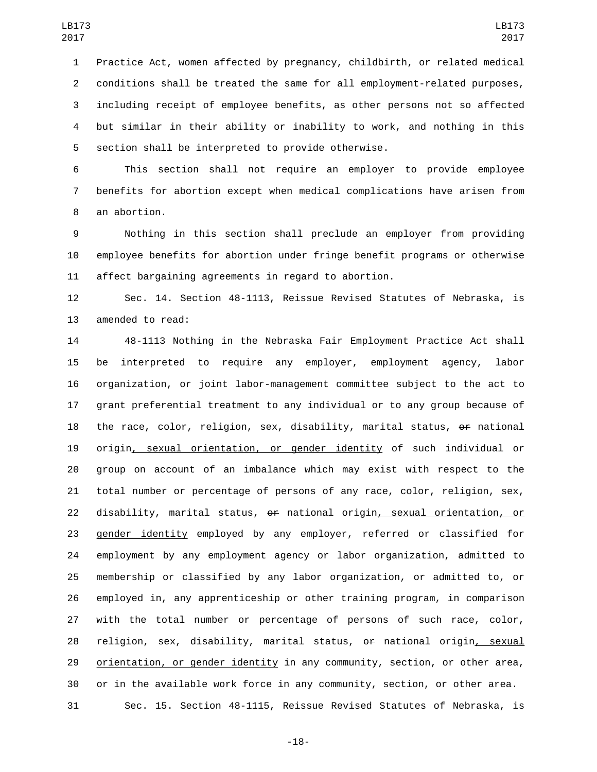Practice Act, women affected by pregnancy, childbirth, or related medical conditions shall be treated the same for all employment-related purposes, including receipt of employee benefits, as other persons not so affected but similar in their ability or inability to work, and nothing in this 5 section shall be interpreted to provide otherwise.

 This section shall not require an employer to provide employee benefits for abortion except when medical complications have arisen from 8 an abortion.

 Nothing in this section shall preclude an employer from providing employee benefits for abortion under fringe benefit programs or otherwise affect bargaining agreements in regard to abortion.

 Sec. 14. Section 48-1113, Reissue Revised Statutes of Nebraska, is 13 amended to read:

 48-1113 Nothing in the Nebraska Fair Employment Practice Act shall be interpreted to require any employer, employment agency, labor organization, or joint labor-management committee subject to the act to grant preferential treatment to any individual or to any group because of the race, color, religion, sex, disability, marital status, or national origin, sexual orientation, or gender identity of such individual or group on account of an imbalance which may exist with respect to the total number or percentage of persons of any race, color, religion, sex, disability, marital status, or national origin, sexual orientation, or gender identity employed by any employer, referred or classified for employment by any employment agency or labor organization, admitted to membership or classified by any labor organization, or admitted to, or employed in, any apprenticeship or other training program, in comparison with the total number or percentage of persons of such race, color, 28 religion, sex, disability, marital status, or national origin, sexual 29 orientation, or gender identity in any community, section, or other area, or in the available work force in any community, section, or other area. Sec. 15. Section 48-1115, Reissue Revised Statutes of Nebraska, is

-18-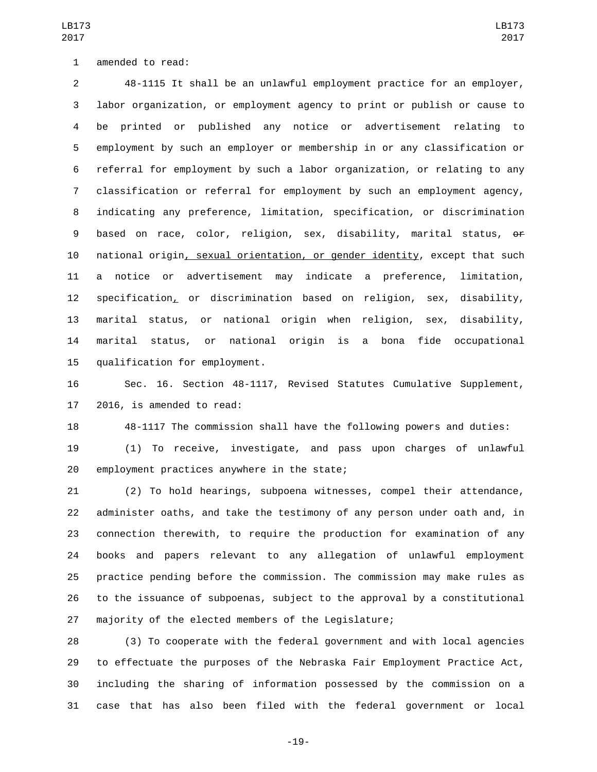1 amended to read:

 48-1115 It shall be an unlawful employment practice for an employer, labor organization, or employment agency to print or publish or cause to be printed or published any notice or advertisement relating to employment by such an employer or membership in or any classification or referral for employment by such a labor organization, or relating to any classification or referral for employment by such an employment agency, indicating any preference, limitation, specification, or discrimination based on race, color, religion, sex, disability, marital status, or national origin, sexual orientation, or gender identity, except that such a notice or advertisement may indicate a preference, limitation, specification, or discrimination based on religion, sex, disability, marital status, or national origin when religion, sex, disability, marital status, or national origin is a bona fide occupational 15 qualification for employment.

 Sec. 16. Section 48-1117, Revised Statutes Cumulative Supplement, 17 2016, is amended to read:

48-1117 The commission shall have the following powers and duties:

 (1) To receive, investigate, and pass upon charges of unlawful 20 employment practices anywhere in the state;

 (2) To hold hearings, subpoena witnesses, compel their attendance, administer oaths, and take the testimony of any person under oath and, in connection therewith, to require the production for examination of any books and papers relevant to any allegation of unlawful employment practice pending before the commission. The commission may make rules as to the issuance of subpoenas, subject to the approval by a constitutional majority of the elected members of the Legislature;

 (3) To cooperate with the federal government and with local agencies to effectuate the purposes of the Nebraska Fair Employment Practice Act, including the sharing of information possessed by the commission on a case that has also been filed with the federal government or local

-19-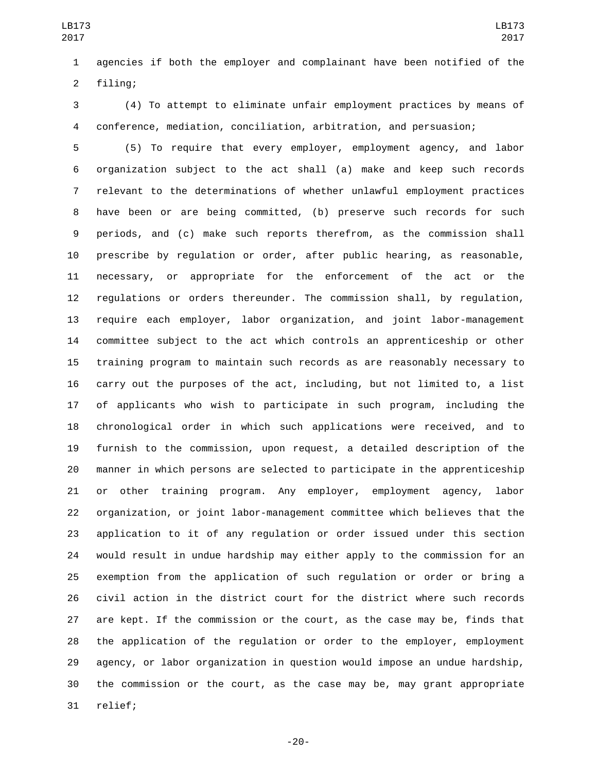agencies if both the employer and complainant have been notified of the 2 filing;

 (4) To attempt to eliminate unfair employment practices by means of conference, mediation, conciliation, arbitration, and persuasion;

 (5) To require that every employer, employment agency, and labor organization subject to the act shall (a) make and keep such records relevant to the determinations of whether unlawful employment practices have been or are being committed, (b) preserve such records for such periods, and (c) make such reports therefrom, as the commission shall prescribe by regulation or order, after public hearing, as reasonable, necessary, or appropriate for the enforcement of the act or the regulations or orders thereunder. The commission shall, by regulation, require each employer, labor organization, and joint labor-management committee subject to the act which controls an apprenticeship or other training program to maintain such records as are reasonably necessary to carry out the purposes of the act, including, but not limited to, a list of applicants who wish to participate in such program, including the chronological order in which such applications were received, and to furnish to the commission, upon request, a detailed description of the manner in which persons are selected to participate in the apprenticeship or other training program. Any employer, employment agency, labor organization, or joint labor-management committee which believes that the application to it of any regulation or order issued under this section would result in undue hardship may either apply to the commission for an exemption from the application of such regulation or order or bring a civil action in the district court for the district where such records are kept. If the commission or the court, as the case may be, finds that 28 the application of the regulation or order to the employer, employment agency, or labor organization in question would impose an undue hardship, the commission or the court, as the case may be, may grant appropriate 31 relief;

-20-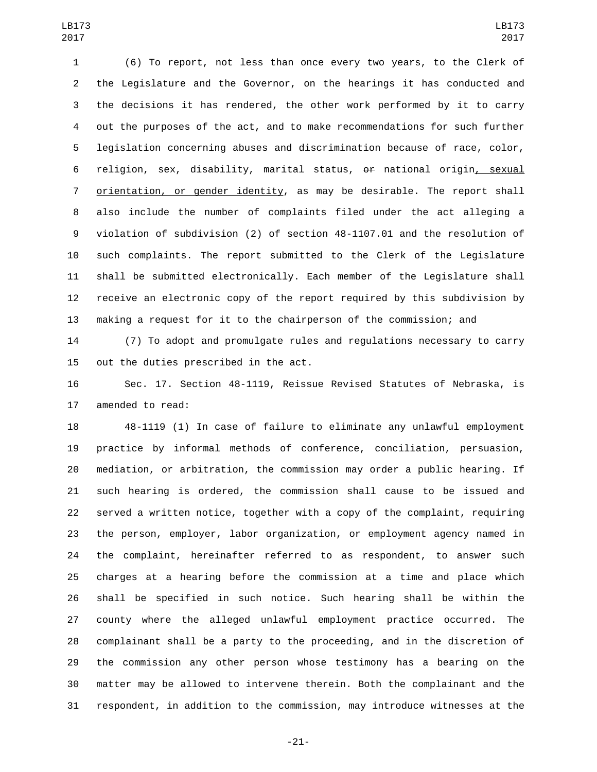(6) To report, not less than once every two years, to the Clerk of the Legislature and the Governor, on the hearings it has conducted and the decisions it has rendered, the other work performed by it to carry out the purposes of the act, and to make recommendations for such further legislation concerning abuses and discrimination because of race, color, religion, sex, disability, marital status, or national origin, sexual orientation, or gender identity, as may be desirable. The report shall also include the number of complaints filed under the act alleging a violation of subdivision (2) of section 48-1107.01 and the resolution of such complaints. The report submitted to the Clerk of the Legislature shall be submitted electronically. Each member of the Legislature shall receive an electronic copy of the report required by this subdivision by making a request for it to the chairperson of the commission; and

 (7) To adopt and promulgate rules and regulations necessary to carry 15 out the duties prescribed in the act.

 Sec. 17. Section 48-1119, Reissue Revised Statutes of Nebraska, is 17 amended to read:

 48-1119 (1) In case of failure to eliminate any unlawful employment practice by informal methods of conference, conciliation, persuasion, mediation, or arbitration, the commission may order a public hearing. If such hearing is ordered, the commission shall cause to be issued and served a written notice, together with a copy of the complaint, requiring the person, employer, labor organization, or employment agency named in the complaint, hereinafter referred to as respondent, to answer such charges at a hearing before the commission at a time and place which shall be specified in such notice. Such hearing shall be within the county where the alleged unlawful employment practice occurred. The complainant shall be a party to the proceeding, and in the discretion of the commission any other person whose testimony has a bearing on the matter may be allowed to intervene therein. Both the complainant and the respondent, in addition to the commission, may introduce witnesses at the

-21-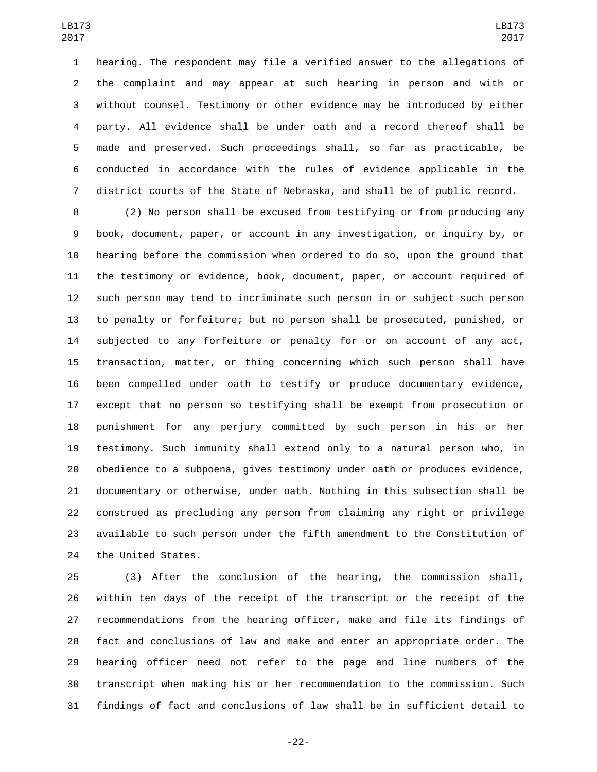hearing. The respondent may file a verified answer to the allegations of the complaint and may appear at such hearing in person and with or without counsel. Testimony or other evidence may be introduced by either party. All evidence shall be under oath and a record thereof shall be made and preserved. Such proceedings shall, so far as practicable, be conducted in accordance with the rules of evidence applicable in the district courts of the State of Nebraska, and shall be of public record.

 (2) No person shall be excused from testifying or from producing any book, document, paper, or account in any investigation, or inquiry by, or hearing before the commission when ordered to do so, upon the ground that the testimony or evidence, book, document, paper, or account required of such person may tend to incriminate such person in or subject such person to penalty or forfeiture; but no person shall be prosecuted, punished, or subjected to any forfeiture or penalty for or on account of any act, transaction, matter, or thing concerning which such person shall have been compelled under oath to testify or produce documentary evidence, except that no person so testifying shall be exempt from prosecution or punishment for any perjury committed by such person in his or her testimony. Such immunity shall extend only to a natural person who, in obedience to a subpoena, gives testimony under oath or produces evidence, documentary or otherwise, under oath. Nothing in this subsection shall be construed as precluding any person from claiming any right or privilege available to such person under the fifth amendment to the Constitution of 24 the United States.

 (3) After the conclusion of the hearing, the commission shall, within ten days of the receipt of the transcript or the receipt of the recommendations from the hearing officer, make and file its findings of fact and conclusions of law and make and enter an appropriate order. The hearing officer need not refer to the page and line numbers of the transcript when making his or her recommendation to the commission. Such findings of fact and conclusions of law shall be in sufficient detail to

-22-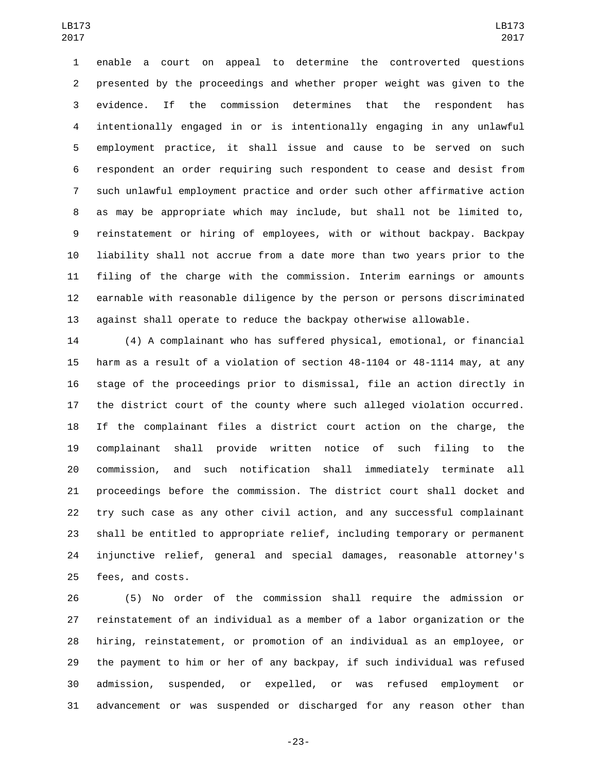enable a court on appeal to determine the controverted questions presented by the proceedings and whether proper weight was given to the evidence. If the commission determines that the respondent has intentionally engaged in or is intentionally engaging in any unlawful employment practice, it shall issue and cause to be served on such respondent an order requiring such respondent to cease and desist from such unlawful employment practice and order such other affirmative action as may be appropriate which may include, but shall not be limited to, reinstatement or hiring of employees, with or without backpay. Backpay liability shall not accrue from a date more than two years prior to the filing of the charge with the commission. Interim earnings or amounts earnable with reasonable diligence by the person or persons discriminated against shall operate to reduce the backpay otherwise allowable.

 (4) A complainant who has suffered physical, emotional, or financial harm as a result of a violation of section 48-1104 or 48-1114 may, at any stage of the proceedings prior to dismissal, file an action directly in the district court of the county where such alleged violation occurred. If the complainant files a district court action on the charge, the complainant shall provide written notice of such filing to the commission, and such notification shall immediately terminate all proceedings before the commission. The district court shall docket and try such case as any other civil action, and any successful complainant shall be entitled to appropriate relief, including temporary or permanent injunctive relief, general and special damages, reasonable attorney's 25 fees, and costs.

 (5) No order of the commission shall require the admission or reinstatement of an individual as a member of a labor organization or the hiring, reinstatement, or promotion of an individual as an employee, or the payment to him or her of any backpay, if such individual was refused admission, suspended, or expelled, or was refused employment or advancement or was suspended or discharged for any reason other than

-23-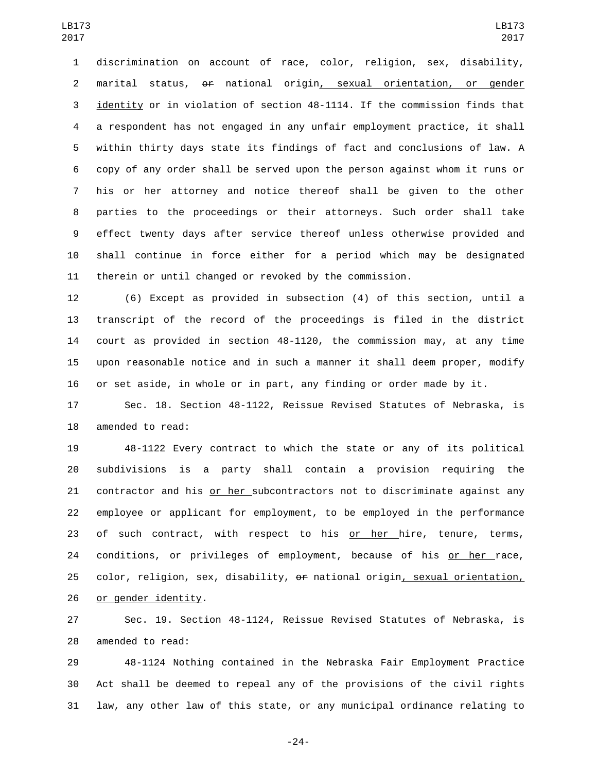discrimination on account of race, color, religion, sex, disability, 2 marital status, or national origin, sexual orientation, or gender identity or in violation of section 48-1114. If the commission finds that a respondent has not engaged in any unfair employment practice, it shall within thirty days state its findings of fact and conclusions of law. A copy of any order shall be served upon the person against whom it runs or his or her attorney and notice thereof shall be given to the other parties to the proceedings or their attorneys. Such order shall take effect twenty days after service thereof unless otherwise provided and shall continue in force either for a period which may be designated therein or until changed or revoked by the commission.

 (6) Except as provided in subsection (4) of this section, until a transcript of the record of the proceedings is filed in the district court as provided in section 48-1120, the commission may, at any time upon reasonable notice and in such a manner it shall deem proper, modify or set aside, in whole or in part, any finding or order made by it.

 Sec. 18. Section 48-1122, Reissue Revised Statutes of Nebraska, is 18 amended to read:

 48-1122 Every contract to which the state or any of its political subdivisions is a party shall contain a provision requiring the contractor and his or her subcontractors not to discriminate against any employee or applicant for employment, to be employed in the performance of such contract, with respect to his or her hire, tenure, terms, 24 conditions, or privileges of employment, because of his or her race, color, religion, sex, disability, or national origin, sexual orientation, 26 or gender identity.

 Sec. 19. Section 48-1124, Reissue Revised Statutes of Nebraska, is 28 amended to read:

 48-1124 Nothing contained in the Nebraska Fair Employment Practice Act shall be deemed to repeal any of the provisions of the civil rights law, any other law of this state, or any municipal ordinance relating to

-24-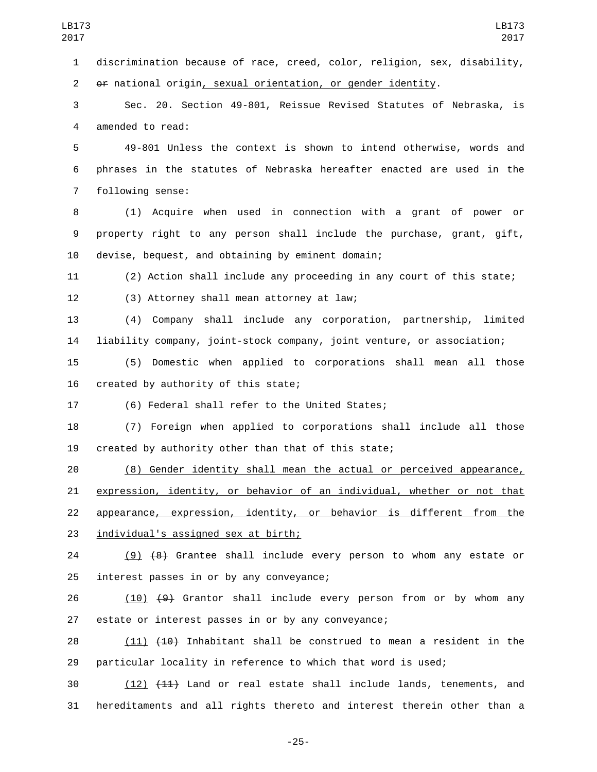discrimination because of race, creed, color, religion, sex, disability, or national origin, sexual orientation, or gender identity.

 Sec. 20. Section 49-801, Reissue Revised Statutes of Nebraska, is 4 amended to read:

 49-801 Unless the context is shown to intend otherwise, words and phrases in the statutes of Nebraska hereafter enacted are used in the 7 following sense:

 (1) Acquire when used in connection with a grant of power or property right to any person shall include the purchase, grant, gift, 10 devise, bequest, and obtaining by eminent domain;

(2) Action shall include any proceeding in any court of this state;

12 (3) Attorney shall mean attorney at law;

 (4) Company shall include any corporation, partnership, limited liability company, joint-stock company, joint venture, or association;

 (5) Domestic when applied to corporations shall mean all those 16 created by authority of this state;

(6) Federal shall refer to the United States;

 (7) Foreign when applied to corporations shall include all those created by authority other than that of this state;

 (8) Gender identity shall mean the actual or perceived appearance, expression, identity, or behavior of an individual, whether or not that appearance, expression, identity, or behavior is different from the 23 individual's assigned sex at birth;

 (9) (8) Grantee shall include every person to whom any estate or 25 interest passes in or by any conveyance;

26 (10) (9) Grantor shall include every person from or by whom any estate or interest passes in or by any conveyance;

 $(11)$   $(10)$  Inhabitant shall be construed to mean a resident in the particular locality in reference to which that word is used;

 (12) (11) Land or real estate shall include lands, tenements, and hereditaments and all rights thereto and interest therein other than a

-25-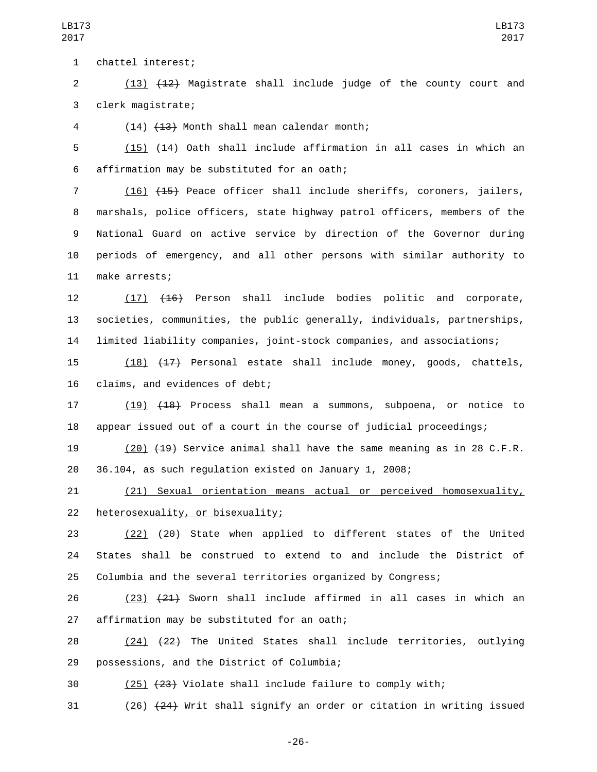2 (13) (12) Magistrate shall include judge of the county court and clerk magistrate;3

4 (14) <del>(13)</del> Month shall mean calendar month;

 (15) (14) Oath shall include affirmation in all cases in which an affirmation may be substituted for an oath;6

 (16) (15) Peace officer shall include sheriffs, coroners, jailers, marshals, police officers, state highway patrol officers, members of the National Guard on active service by direction of the Governor during periods of emergency, and all other persons with similar authority to 11 make arrests;

 (17) (16) Person shall include bodies politic and corporate, societies, communities, the public generally, individuals, partnerships, limited liability companies, joint-stock companies, and associations;

 (18) (17) Personal estate shall include money, goods, chattels, 16 claims, and evidences of debt;

 (19) (18) Process shall mean a summons, subpoena, or notice to appear issued out of a court in the course of judicial proceedings;

 (20) (19) Service animal shall have the same meaning as in 28 C.F.R. 36.104, as such regulation existed on January 1, 2008;

 (21) Sexual orientation means actual or perceived homosexuality, 22 heterosexuality, or bisexuality;

 (22) (20) State when applied to different states of the United States shall be construed to extend to and include the District of Columbia and the several territories organized by Congress;

 (23) (21) Sworn shall include affirmed in all cases in which an 27 affirmation may be substituted for an oath;

28 (24) (22) The United States shall include territories, outlying 29 possessions, and the District of Columbia;

(25) (23) Violate shall include failure to comply with;

(26) (24) Writ shall signify an order or citation in writing issued

LB173 

-26-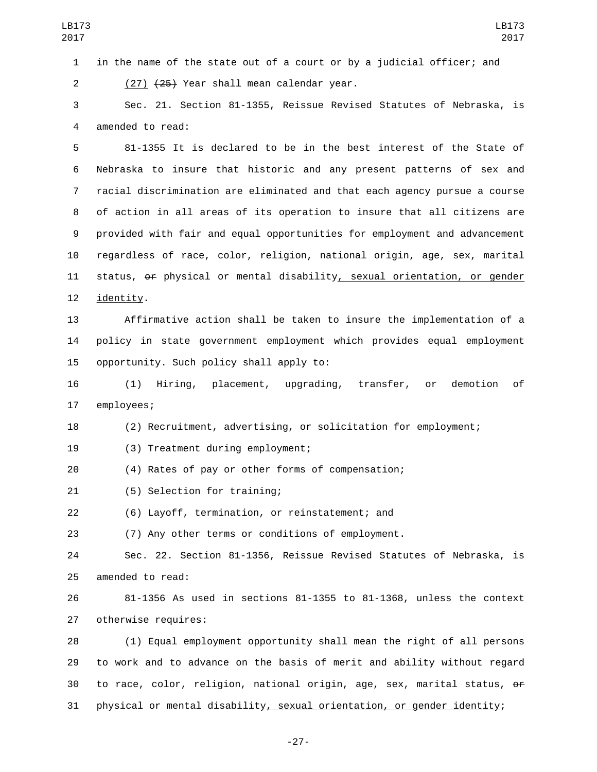in the name of the state out of a court or by a judicial officer; and

2 (27) <del>(25)</del> Year shall mean calendar year.

 Sec. 21. Section 81-1355, Reissue Revised Statutes of Nebraska, is 4 amended to read:

 81-1355 It is declared to be in the best interest of the State of Nebraska to insure that historic and any present patterns of sex and racial discrimination are eliminated and that each agency pursue a course of action in all areas of its operation to insure that all citizens are provided with fair and equal opportunities for employment and advancement regardless of race, color, religion, national origin, age, sex, marital 11 status, or physical or mental disability, sexual orientation, or gender 12 identity.

 Affirmative action shall be taken to insure the implementation of a policy in state government employment which provides equal employment 15 opportunity. Such policy shall apply to:

 (1) Hiring, placement, upgrading, transfer, or demotion of 17 employees;

(2) Recruitment, advertising, or solicitation for employment;

19 (3) Treatment during employment;

(4) Rates of pay or other forms of compensation;

21 (5) Selection for training;

(6) Layoff, termination, or reinstatement; and

(7) Any other terms or conditions of employment.

 Sec. 22. Section 81-1356, Reissue Revised Statutes of Nebraska, is 25 amended to read:

 81-1356 As used in sections 81-1355 to 81-1368, unless the context 27 otherwise requires:

 (1) Equal employment opportunity shall mean the right of all persons to work and to advance on the basis of merit and ability without regard to race, color, religion, national origin, age, sex, marital status, or physical or mental disability, sexual orientation, or gender identity;

-27-